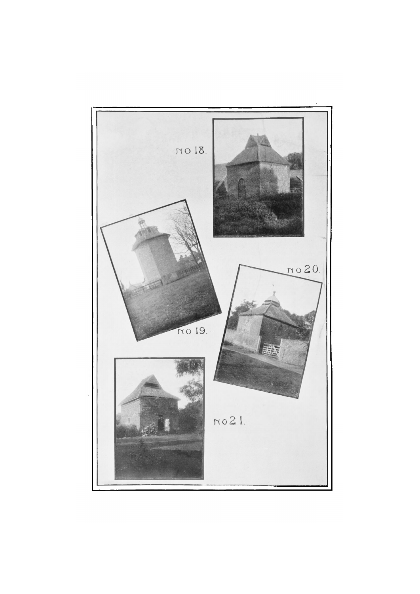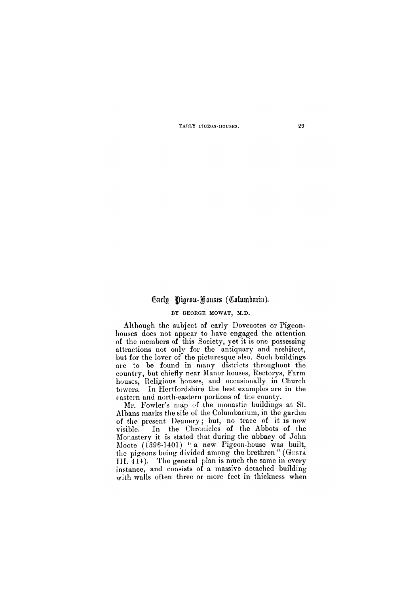## **BY GEORGE MOWAT, M.D.**

Mr. Fowler's map of the monastic buildings at St. Albans marks the site of the Columbarium, in the garden of the present Deanery; but, no trace of it is now visible. In the Chronicles of the Abbots of the Monastery it is stated that during the abbacy of John Moote (1396-1401) "a new Pigeon-house was built, the pigeons being divided among the brethren" (G**ESTA III**. 444). The general plan is much the same in every instance, and consists of a massive detached building with walls often three or more feet in thickness when

Although the subject of early Dovecotes or Pigeonhouses does not appear to have engaged the attention of the members of this Society, yet it is one possessing attractions not only for the antiquary and architect, but for the lover of the picturesque also. Such buildings are to be found in many districts throughout the country, but chiefly near Manor houses, Rectorys, Farm houses, Religious houses, and occasionally in Church towers. In Hertfordshire the best examples are in the eastern and north-eastern portions of the county.

**EARLY PIGEON-HOUSES. 29** 

# Carly Pigron-Houses (Columbaria).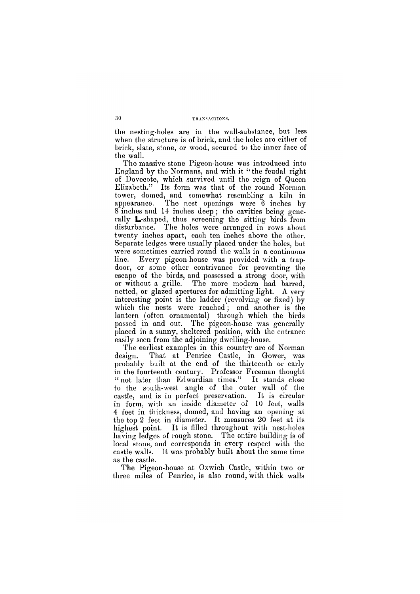### **30 TRANSACTIONS.**

the nesting-holes are in the wall-substance, but less when the structure is of brick, and the holes aro either of brick, slate, stone, or wood, secured to the inner face of the wall.

The massive stone Pigeon-house was introduced into England by the Normans, and with it "the feudal right of Dovecote, which survived until the reign of Queen Elizabeth." Its form was that of the round Norman tower, domed, and somewhat resembling a kiln in appearance. The nest openings were 6 inches by 8 inches and 14 inches deep ; the cavities being generally **L**-shaped, thus screening the sitting birds from disturbance. The holes were arranged in rows about twenty inches apart, each ten inches above the other. Separate ledges were usually placed under the holes, but were sometimes carried round the walls in a continuous line. Every pigeon-house was provided with a trapdoor, or some other contrivance for preventing the escape of the birds, and possessed a strong door, with or without a grille. The more modern had barred, netted, or glazed apertures for admitting light. A very interesting point is the ladder (revolving or fixed) by which the nests were reached ; and another is the lantern (often ornamental) through which the birds passed in and out. The pigeon-house was generally placed in a sunny, sheltered position, with the entrance easily seen from the adjoining dwelling-house.

The earliest examples in this country are of Norman design. That at Penrice Castle, in Gower, was probably built at the end of the thirteenth or early in the fourteenth century. Professor Freeman thought " not later than Edwardian times." It stands close to the south-west angle of the outer wall of the castle, and is in perfect preservation. It is circular in form, with an inside diameter of 10 feet, walls 4 feet in thickness, domed, and having an opening at the top 2 feet in diameter. It measures 20 feet at its highest point. It is filled throughout with nest-holes having ledges of rough stone. The entire building is of local stone, and corresponds in every respect with the

castle walls. It was probably built about the same time as the castle.

The Pigeon-house at Oxwich Castle, within two or three miles of Penrice, is also round, with thick walls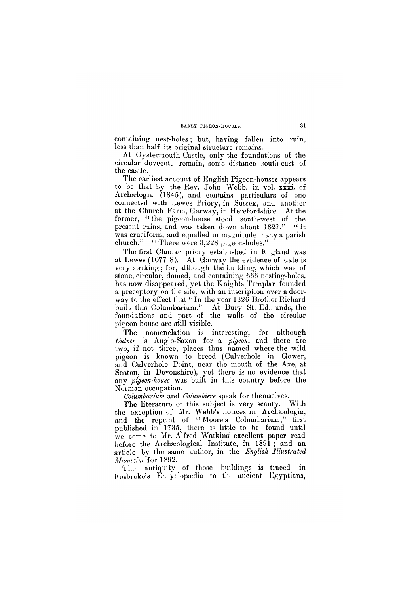#### **EARLY PIGEON-HOUSES.**

containing nest-holes; but, having fallen into ruin, less than half its original structure remains.

The earliest account of English Pigeon-houses appears to be that by the Rev. John Webb, in vol. xxxi. of Archaelogia (1845), and contains particulars of one connected with Lewes Priory, in Sussex, and another at the Church Farm, Garway, in Herefordshire. At the former, "the pigeon-house stood south-west of the present ruins, and was taken down about 1827." "It was cruciform, and equalled in magnitude many a parish church." "There were 3,228 pigeon-holes."

At Oystermouth Castle, only the foundations of the circular dovecote remain, some distance south-east of the castle.

The first Cluniac priory established in England was at Lewes (1077-8). At Garway the evidence of date is very striking; for, although the building, which was of stone, circular, domed, and containing 666 nesting-holes, has now disappeared, yet the Knights Templar founded a preceptory on the site, with an inscription over a doorway to the effect that "In the year 1326 Brother Richard" built this Columbarium." At Bury St. Edmunds, the foundations and part of the walls of the circular pigeon-house are still visible.

The nomenclation is interesting, for although *Culver* is Anglo-Saxon for a *pigeon*, and there are two, if not three, places thus named where the wild pigeon is known to breed (Culverhole in Gower, and Culverhole Point, near the mouth of the Axe, at Seaton, in Devonshire), yet there is no evidence that any *pigeon-house* was built in this country before the Norman occupation.

*Columbarium* and *Columbiere* speak for themselves.

The literature of this subject is very scanty. With the exception of Mr. Webb's notices in Archaeologia, and the reprint of "Moore's Columbarium," first published in 1735, there is little to be found until we come to Mr. Alfred Watkins' excellent paper read before the Archaeological Institute, in 1891 ; and an article by the same author, in the *English Illustrated*  Magazine for 1892. The antiquity of those buildings is traced in Fosbroke's Encyclopaedia to the ancient Egyptians,

 $31$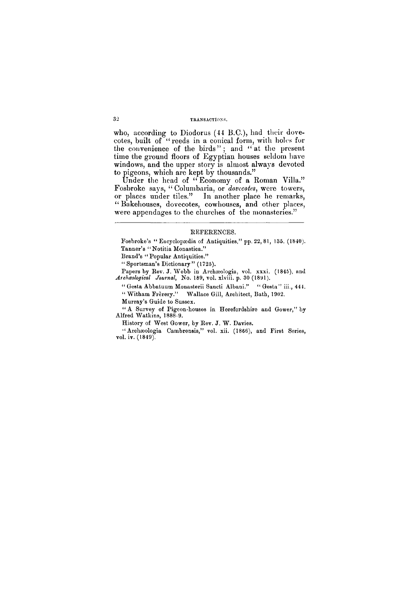# **32 TRANSACTIONS.**

who, according to Diodorus (44 B.C.), had their dovecotes, built of "reeds in a conical form, with holes for the convenience of the birds"; and "at the present time the ground floors of Egyptian houses seldom have windows, and the upper story is almost always devoted to pigeons, which are kept by thousands."

Under the head of "Economy of a Roman Villa." Fosbroke says, "Columbaria, or *dovecotes*, were towers, or places under tiles." In another place he remarks, " Bakehouses, dovecotes, cowhouses, and other places, were appendages to the churches of the monasteries."

#### **REFERENCES.**

**Fosbroke's " Encyclopaedia of Antiquities," pp. 22, 81, 135. (1840). Tanner's "Notitia Monastica."** 

**Brand's " Popular Antiquities."** 

**" Sportsman's Dictionary" (1725).** 

**Papers by Rev. J. Webb in Archaeologia, vol. xxxi. (1845), and**  *Archaeological Journal***, No. 189, vol. xlviii. p. 30 (1891).** 

**" Gesta Abbatuum Monasterii Sancti Albani." " Gesta" iii., 444.** 

**" Witham Frerery." Wallace Gill, Architect, Bath, 1902.** 

**Murray's Guide to Sussex.** 

**" A Survey of Pigeon-houses in Herefordshire and Gower," by Alfred Watkins, 1888-9.** 

**History of West Gower, by Rev. J. W . Davies.** 

**" Archaeologia Cambrensis," vol. xii. (1866), and First Series, vol. iv. (1849).**